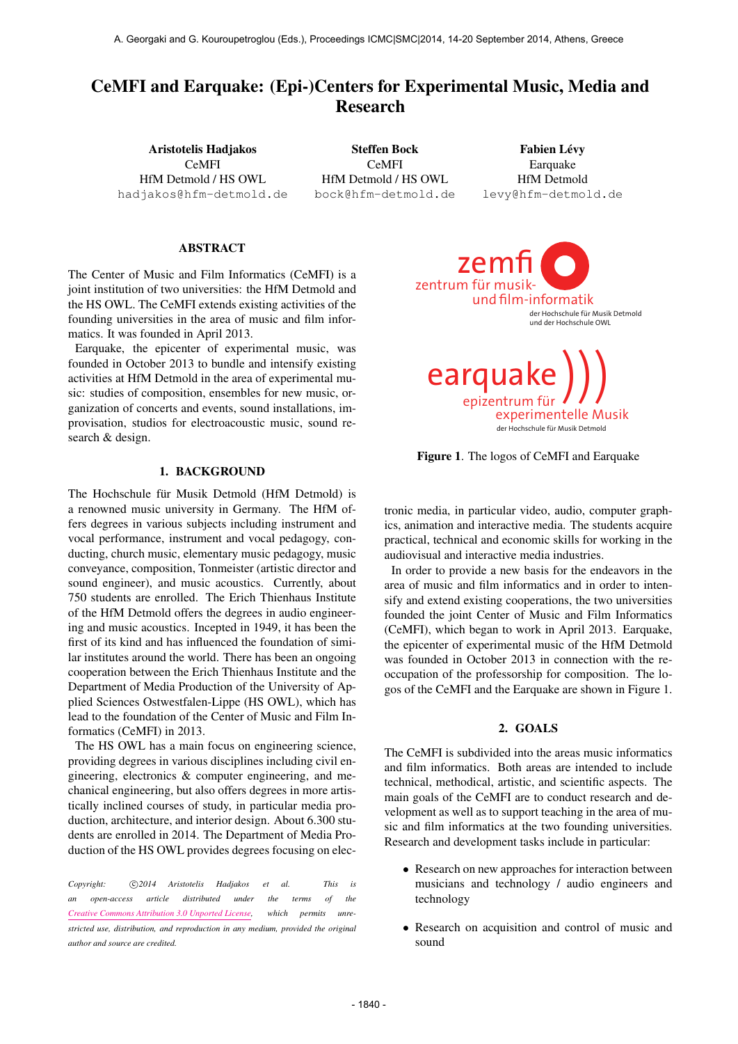# CeMFI and Earquake: (Epi-)Centers for Experimental Music, Media and Research

Aristotelis Hadjakos CeMFI HfM Detmold / HS OWL [hadjakos@hfm-detmold.de](mailto:hadjakos@hfm-detmold.de)

Steffen Bock CeMFI HfM Detmold / HS OWL [bock@hfm-detmold.de](mailto:bock@hfm-detmold.de)

**Fabien Lévy Earquake** HfM Detmold [levy@hfm-detmold.de](mailto:levy@hfm-detmold.de)

### ABSTRACT

The Center of Music and Film Informatics (CeMFI) is a joint institution of two universities: the HfM Detmold and the HS OWL. The CeMFI extends existing activities of the founding universities in the area of music and film informatics. It was founded in April 2013.

Earquake, the epicenter of experimental music, was founded in October 2013 to bundle and intensify existing activities at HfM Detmold in the area of experimental music: studies of composition, ensembles for new music, organization of concerts and events, sound installations, improvisation, studios for electroacoustic music, sound research & design.

### 1. BACKGROUND

The Hochschule für Musik Detmold (HfM Detmold) is a renowned music university in Germany. The HfM offers degrees in various subjects including instrument and vocal performance, instrument and vocal pedagogy, conducting, church music, elementary music pedagogy, music conveyance, composition, Tonmeister (artistic director and sound engineer), and music acoustics. Currently, about 750 students are enrolled. The Erich Thienhaus Institute of the HfM Detmold offers the degrees in audio engineering and music acoustics. Incepted in 1949, it has been the first of its kind and has influenced the foundation of similar institutes around the world. There has been an ongoing cooperation between the Erich Thienhaus Institute and the Department of Media Production of the University of Applied Sciences Ostwestfalen-Lippe (HS OWL), which has lead to the foundation of the Center of Music and Film Informatics (CeMFI) in 2013.

The HS OWL has a main focus on engineering science, providing degrees in various disciplines including civil engineering, electronics & computer engineering, and mechanical engineering, but also offers degrees in more artistically inclined courses of study, in particular media production, architecture, and interior design. About 6.300 students are enrolled in 2014. The Department of Media Production of the HS OWL provides degrees focusing on elec-

Copyright:  $\bigcirc$ 2014 Aristotelis Hadjakos et al. This is *an open-access article distributed under the terms of the [Creative Commons Attribution 3.0 Unported License,](http://creativecommons.org/licenses/by/3.0/) which permits unrestricted use, distribution, and reproduction in any medium, provided the original author and source are credited.*





Figure 1. The logos of CeMFI and Earquake

tronic media, in particular video, audio, computer graphics, animation and interactive media. The students acquire practical, technical and economic skills for working in the audiovisual and interactive media industries.

In order to provide a new basis for the endeavors in the area of music and film informatics and in order to intensify and extend existing cooperations, the two universities founded the joint Center of Music and Film Informatics (CeMFI), which began to work in April 2013. Earquake, the epicenter of experimental music of the HfM Detmold was founded in October 2013 in connection with the reoccupation of the professorship for composition. The logos of the CeMFI and the Earquake are shown in Figure 1.

### 2. GOALS

The CeMFI is subdivided into the areas music informatics and film informatics. Both areas are intended to include technical, methodical, artistic, and scientific aspects. The main goals of the CeMFI are to conduct research and development as well as to support teaching in the area of music and film informatics at the two founding universities. Research and development tasks include in particular:

- Research on new approaches for interaction between musicians and technology / audio engineers and technology
- Research on acquisition and control of music and sound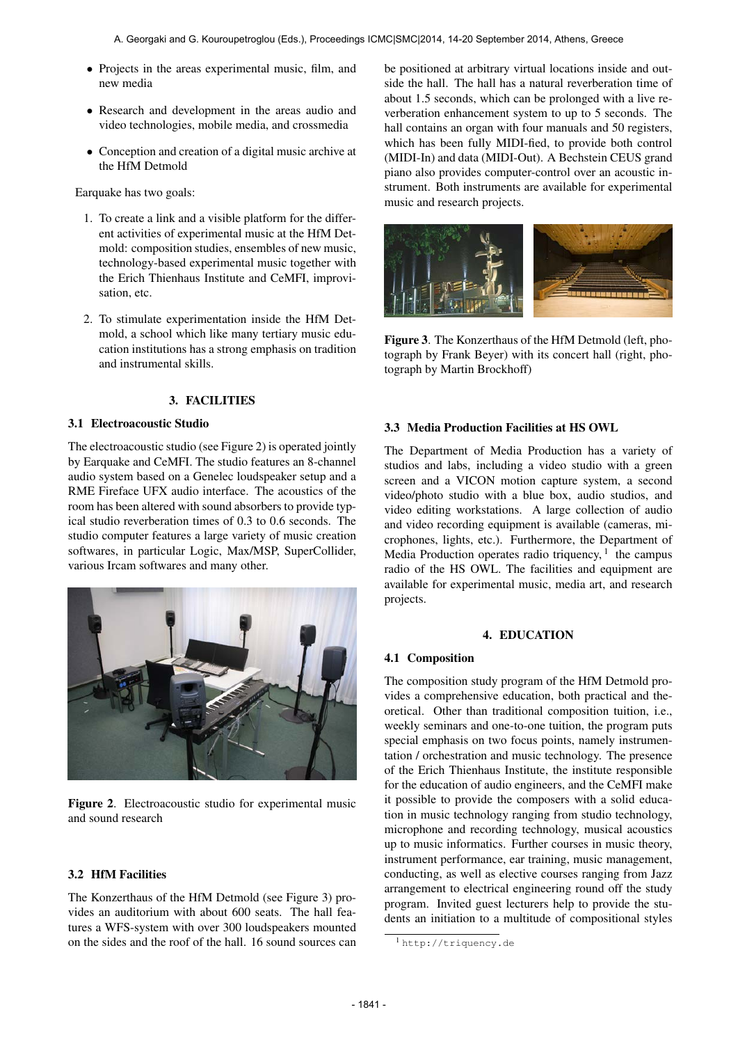- Projects in the areas experimental music, film, and new media
- Research and development in the areas audio and video technologies, mobile media, and crossmedia
- Conception and creation of a digital music archive at the HfM Detmold

Earquake has two goals:

- 1. To create a link and a visible platform for the different activities of experimental music at the HfM Detmold: composition studies, ensembles of new music, technology-based experimental music together with the Erich Thienhaus Institute and CeMFI, improvisation, etc.
- 2. To stimulate experimentation inside the HfM Detmold, a school which like many tertiary music education institutions has a strong emphasis on tradition and instrumental skills.

# 3. FACILITIES

#### 3.1 Electroacoustic Studio

The electroacoustic studio (see Figure 2) is operated jointly by Earquake and CeMFI. The studio features an 8-channel audio system based on a Genelec loudspeaker setup and a RME Fireface UFX audio interface. The acoustics of the room has been altered with sound absorbers to provide typical studio reverberation times of 0.3 to 0.6 seconds. The studio computer features a large variety of music creation softwares, in particular Logic, Max/MSP, SuperCollider, various Ircam softwares and many other.





# 3.2 HfM Facilities

The Konzerthaus of the HfM Detmold (see Figure 3) provides an auditorium with about 600 seats. The hall features a WFS-system with over 300 loudspeakers mounted on the sides and the roof of the hall. 16 sound sources can be positioned at arbitrary virtual locations inside and outside the hall. The hall has a natural reverberation time of about 1.5 seconds, which can be prolonged with a live reverberation enhancement system to up to 5 seconds. The hall contains an organ with four manuals and 50 registers, which has been fully MIDI-fied, to provide both control (MIDI-In) and data (MIDI-Out). A Bechstein CEUS grand piano also provides computer-control over an acoustic instrument. Both instruments are available for experimental music and research projects.



Figure 3. The Konzerthaus of the HfM Detmold (left, photograph by Frank Beyer) with its concert hall (right, photograph by Martin Brockhoff)

### 3.3 Media Production Facilities at HS OWL

The Department of Media Production has a variety of studios and labs, including a video studio with a green screen and a VICON motion capture system, a second video/photo studio with a blue box, audio studios, and video editing workstations. A large collection of audio and video recording equipment is available (cameras, microphones, lights, etc.). Furthermore, the Department of Media Production operates radio triquency,  $1$  the campus radio of the HS OWL. The facilities and equipment are available for experimental music, media art, and research projects.

### 4. EDUCATION

# 4.1 Composition

The composition study program of the HfM Detmold provides a comprehensive education, both practical and theoretical. Other than traditional composition tuition, i.e., weekly seminars and one-to-one tuition, the program puts special emphasis on two focus points, namely instrumentation / orchestration and music technology. The presence of the Erich Thienhaus Institute, the institute responsible for the education of audio engineers, and the CeMFI make it possible to provide the composers with a solid education in music technology ranging from studio technology, microphone and recording technology, musical acoustics up to music informatics. Further courses in music theory, instrument performance, ear training, music management, conducting, as well as elective courses ranging from Jazz arrangement to electrical engineering round off the study program. Invited guest lecturers help to provide the students an initiation to a multitude of compositional styles

<sup>1</sup> <http://triquency.de>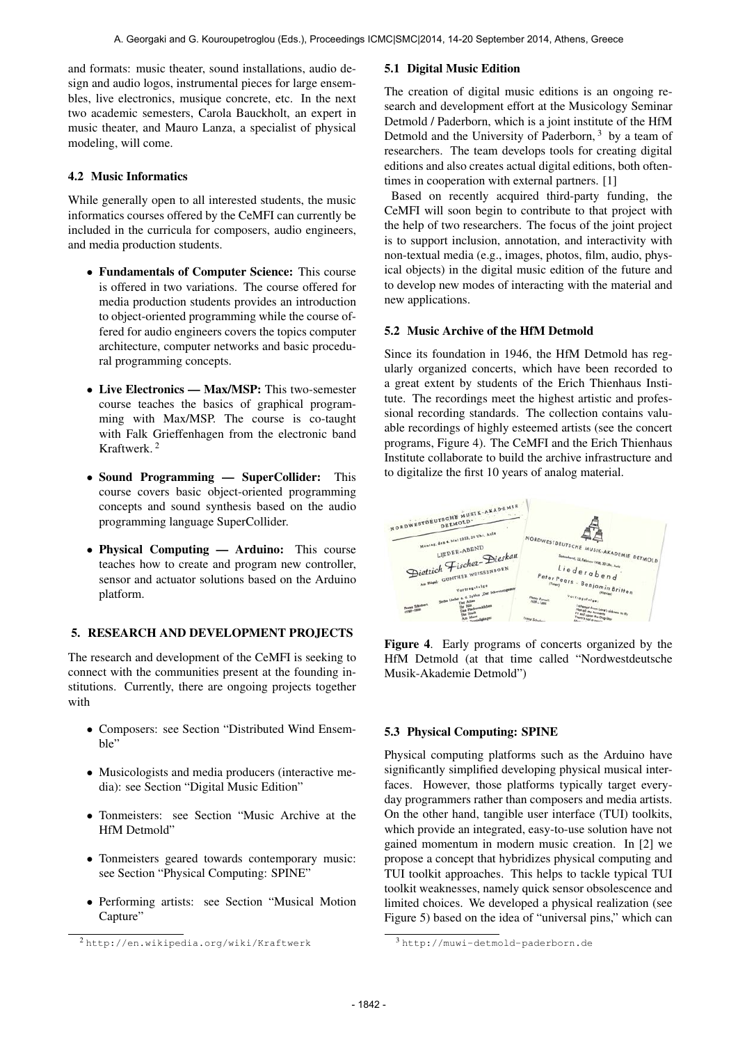and formats: music theater, sound installations, audio design and audio logos, instrumental pieces for large ensembles, live electronics, musique concrete, etc. In the next two academic semesters, Carola Bauckholt, an expert in music theater, and Mauro Lanza, a specialist of physical modeling, will come.

# 4.2 Music Informatics

While generally open to all interested students, the music informatics courses offered by the CeMFI can currently be included in the curricula for composers, audio engineers, and media production students.

- Fundamentals of Computer Science: This course is offered in two variations. The course offered for media production students provides an introduction to object-oriented programming while the course offered for audio engineers covers the topics computer architecture, computer networks and basic procedural programming concepts.
- Live Electronics Max/MSP: This two-semester course teaches the basics of graphical programming with Max/MSP. The course is co-taught with Falk Grieffenhagen from the electronic band Kraftwerk. 2
- Sound Programming SuperCollider: This course covers basic object-oriented programming concepts and sound synthesis based on the audio programming language SuperCollider.
- Physical Computing Arduino: This course teaches how to create and program new controller, sensor and actuator solutions based on the Arduino platform.

# 5. RESEARCH AND DEVELOPMENT PROJECTS

The research and development of the CeMFI is seeking to connect with the communities present at the founding institutions. Currently, there are ongoing projects together with

- Composers: see Section "Distributed Wind Ensemble"
- Musicologists and media producers (interactive media): see Section "Digital Music Edition"
- Tonmeisters: see Section "Music Archive at the HfM Detmold"
- Tonmeisters geared towards contemporary music: see Section "Physical Computing: SPINE"
- Performing artists: see Section "Musical Motion Capture"

# 5.1 Digital Music Edition

The creation of digital music editions is an ongoing research and development effort at the Musicology Seminar Detmold / Paderborn, which is a joint institute of the HfM Detmold and the University of Paderborn,  $3$  by a team of researchers. The team develops tools for creating digital editions and also creates actual digital editions, both oftentimes in cooperation with external partners. [1]

Based on recently acquired third-party funding, the CeMFI will soon begin to contribute to that project with the help of two researchers. The focus of the joint project is to support inclusion, annotation, and interactivity with non-textual media (e.g., images, photos, film, audio, physical objects) in the digital music edition of the future and to develop new modes of interacting with the material and new applications.

# 5.2 Music Archive of the HfM Detmold

Since its foundation in 1946, the HfM Detmold has regularly organized concerts, which have been recorded to a great extent by students of the Erich Thienhaus Institute. The recordings meet the highest artistic and professional recording standards. The collection contains valuable recordings of highly esteemed artists (see the concert programs, Figure 4). The CeMFI and the Erich Thienhaus Institute collaborate to build the archive infrastructure and to digitalize the first 10 years of analog material.



Figure 4. Early programs of concerts organized by the HfM Detmold (at that time called "Nordwestdeutsche Musik-Akademie Detmold")

# 5.3 Physical Computing: SPINE

Physical computing platforms such as the Arduino have significantly simplified developing physical musical interfaces. However, those platforms typically target everyday programmers rather than composers and media artists. On the other hand, tangible user interface (TUI) toolkits, which provide an integrated, easy-to-use solution have not gained momentum in modern music creation. In [2] we propose a concept that hybridizes physical computing and TUI toolkit approaches. This helps to tackle typical TUI toolkit weaknesses, namely quick sensor obsolescence and limited choices. We developed a physical realization (see Figure 5) based on the idea of "universal pins," which can

<sup>2</sup> <http://en.wikipedia.org/wiki/Kraftwerk>

<sup>3</sup> <http://muwi-detmold-paderborn.de>